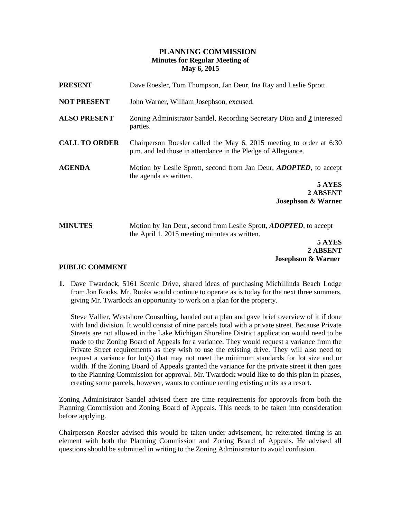# **PLANNING COMMISSION Minutes for Regular Meeting of May 6, 2015**

| <b>PRESENT</b>       | Dave Roesler, Tom Thompson, Jan Deur, Ina Ray and Leslie Sprott.                                                                     |
|----------------------|--------------------------------------------------------------------------------------------------------------------------------------|
| <b>NOT PRESENT</b>   | John Warner, William Josephson, excused.                                                                                             |
| <b>ALSO PRESENT</b>  | Zoning Administrator Sandel, Recording Secretary Dion and 2 interested<br>parties.                                                   |
| <b>CALL TO ORDER</b> | Chairperson Roesler called the May 6, 2015 meeting to order at 6:30<br>p.m. and led those in attendance in the Pledge of Allegiance. |
| <b>AGENDA</b>        | Motion by Leslie Sprott, second from Jan Deur, <i>ADOPTED</i> , to accept<br>the agenda as written.                                  |
|                      | 5 AYES<br>2 ABSENT                                                                                                                   |
|                      | <b>Josephson &amp; Warner</b>                                                                                                        |
| <b>MINUTES</b>       | Motion by Jan Deur, second from Leslie Sprott, <i>ADOPTED</i> , to accept<br>the April 1, 2015 meeting minutes as written.           |
|                      | 5 AYES                                                                                                                               |
|                      | 2 ABSENT                                                                                                                             |

# **PUBLIC COMMENT**

**1.** Dave Twardock, 5161 Scenic Drive, shared ideas of purchasing Michillinda Beach Lodge from Jon Rooks. Mr. Rooks would continue to operate as is today for the next three summers, giving Mr. Twardock an opportunity to work on a plan for the property.

 **Josephson & Warner**

Steve Vallier, Westshore Consulting, handed out a plan and gave brief overview of it if done with land division. It would consist of nine parcels total with a private street. Because Private Streets are not allowed in the Lake Michigan Shoreline District application would need to be made to the Zoning Board of Appeals for a variance. They would request a variance from the Private Street requirements as they wish to use the existing drive. They will also need to request a variance for  $\text{lot}(s)$  that may not meet the minimum standards for lot size and or width. If the Zoning Board of Appeals granted the variance for the private street it then goes to the Planning Commission for approval. Mr. Twardock would like to do this plan in phases, creating some parcels, however, wants to continue renting existing units as a resort.

Zoning Administrator Sandel advised there are time requirements for approvals from both the Planning Commission and Zoning Board of Appeals. This needs to be taken into consideration before applying.

Chairperson Roesler advised this would be taken under advisement, he reiterated timing is an element with both the Planning Commission and Zoning Board of Appeals. He advised all questions should be submitted in writing to the Zoning Administrator to avoid confusion.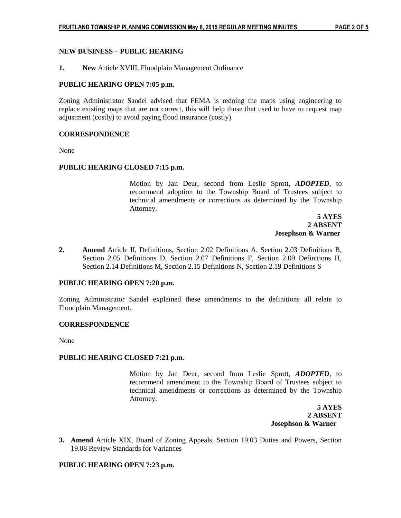# **NEW BUSINESS – PUBLIC HEARING**

**1. New** Article XVIII, Floodplain Management Ordinance

## **PUBLIC HEARING OPEN 7:05 p.m.**

Zoning Administrator Sandel advised that FEMA is redoing the maps using engineering to replace existing maps that are not correct, this will help those that used to have to request map adjustment (costly) to avoid paying flood insurance (costly).

## **CORRESPONDENCE**

None

## **PUBLIC HEARING CLOSED 7:15 p.m.**

Motion by Jan Deur, second from Leslie Sprott, *ADOPTED*, to recommend adoption to the Township Board of Trustees subject to technical amendments or corrections as determined by the Township Attorney.

 **5 AYES 2 ABSENT Josephson & Warner**

**2. Amend** Article II, Definitions, Section 2.02 Definitions A, Section 2.03 Definitions B, Section 2.05 Definitions D, Section 2.07 Definitions F, Section 2.09 Definitions H, Section 2.14 Definitions M, Section 2.15 Definitions N, Section 2.19 Definitions S

#### **PUBLIC HEARING OPEN 7:20 p.m.**

Zoning Administrator Sandel explained these amendments to the definitions all relate to Floodplain Management.

#### **CORRESPONDENCE**

None

#### **PUBLIC HEARING CLOSED 7:21 p.m.**

Motion by Jan Deur, second from Leslie Sprott, *ADOPTED*, to recommend amendment to the Township Board of Trustees subject to technical amendments or corrections as determined by the Township Attorney.

 **5 AYES 2 ABSENT Josephson & Warner**

**3. Amend** Article XIX, Board of Zoning Appeals, Section 19.03 Duties and Powers, Section 19.08 Review Standards for Variances

# **PUBLIC HEARING OPEN 7:23 p.m.**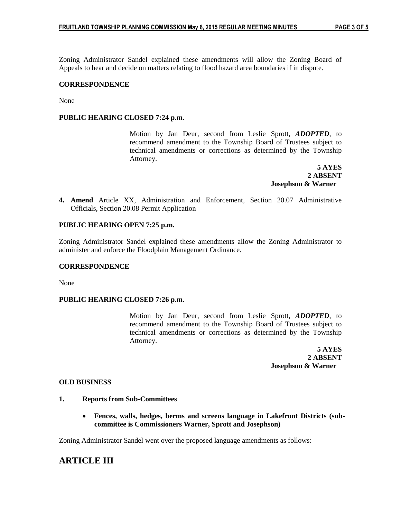Zoning Administrator Sandel explained these amendments will allow the Zoning Board of Appeals to hear and decide on matters relating to flood hazard area boundaries if in dispute.

# **CORRESPONDENCE**

None

# **PUBLIC HEARING CLOSED 7:24 p.m.**

Motion by Jan Deur, second from Leslie Sprott, *ADOPTED*, to recommend amendment to the Township Board of Trustees subject to technical amendments or corrections as determined by the Township Attorney.

 **5 AYES 2 ABSENT Josephson & Warner**

**4. Amend** Article XX, Administration and Enforcement, Section 20.07 Administrative Officials, Section 20.08 Permit Application

# **PUBLIC HEARING OPEN 7:25 p.m.**

Zoning Administrator Sandel explained these amendments allow the Zoning Administrator to administer and enforce the Floodplain Management Ordinance.

#### **CORRESPONDENCE**

None

#### **PUBLIC HEARING CLOSED 7:26 p.m.**

Motion by Jan Deur, second from Leslie Sprott, *ADOPTED*, to recommend amendment to the Township Board of Trustees subject to technical amendments or corrections as determined by the Township Attorney.

 **5 AYES 2 ABSENT Josephson & Warner**

#### **OLD BUSINESS**

#### **1. Reports from Sub-Committees**

 **Fences, walls, hedges, berms and screens language in Lakefront Districts (subcommittee is Commissioners Warner, Sprott and Josephson)**

Zoning Administrator Sandel went over the proposed language amendments as follows:

# **ARTICLE III**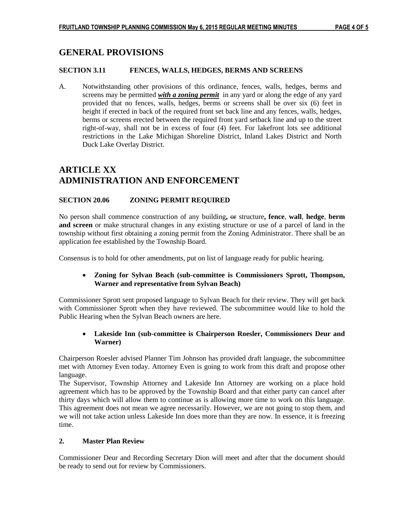# **GENERAL PROVISIONS**

# **SECTION 3.11 FENCES, WALLS, HEDGES, BERMS AND SCREENS**

A. Notwithstanding other provisions of this ordinance, fences, walls, hedges, berms and screens may be permitted *with a zoning permit* in any yard or along the edge of any yard provided that no fences, walls, hedges, berms or screens shall be over six (6) feet in height if erected in back of the required front set back line and any fences, walls, hedges, berms or screens erected between the required front yard setback line and up to the street right-of-way, shall not be in excess of four (4) feet. For lakefront lots see additional restrictions in the Lake Michigan Shoreline District, Inland Lakes District and North Duck Lake Overlay District.

# **ARTICLE XX ADMINISTRATION AND ENFORCEMENT**

# **SECTION 20.06 ZONING PERMIT REQUIRED**

No person shall commence construction of any building**,** or structure**, fence**, **wall**, **hedge**, **berm and screen** or make structural changes in any existing structure or use of a parcel of land in the township without first obtaining a zoning permit from the Zoning Administrator. There shall be an application fee established by the Township Board.

Consensus is to hold for other amendments, put on list of language ready for public hearing.

# **Zoning for Sylvan Beach (sub-committee is Commissioners Sprott, Thompson, Warner and representative from Sylvan Beach)**

Commissioner Sprott sent proposed language to Sylvan Beach for their review. They will get back with Commissioner Sprott when they have reviewed. The subcommittee would like to hold the Public Hearing when the Sylvan Beach owners are here.

# **Lakeside Inn (sub-committee is Chairperson Roesler, Commissioners Deur and Warner)**

Chairperson Roesler advised Planner Tim Johnson has provided draft language, the subcommittee met with Attorney Even today. Attorney Even is going to work from this draft and propose other language.

The Supervisor, Township Attorney and Lakeside Inn Attorney are working on a place hold agreement which has to be approved by the Township Board and that either party can cancel after thirty days which will allow them to continue as is allowing more time to work on this language. This agreement does not mean we agree necessarily. However, we are not going to stop them, and we will not take action unless Lakeside Inn does more than they are now. In essence, it is freezing time.

# **2. Master Plan Review**

Commissioner Deur and Recording Secretary Dion will meet and after that the document should be ready to send out for review by Commissioners.